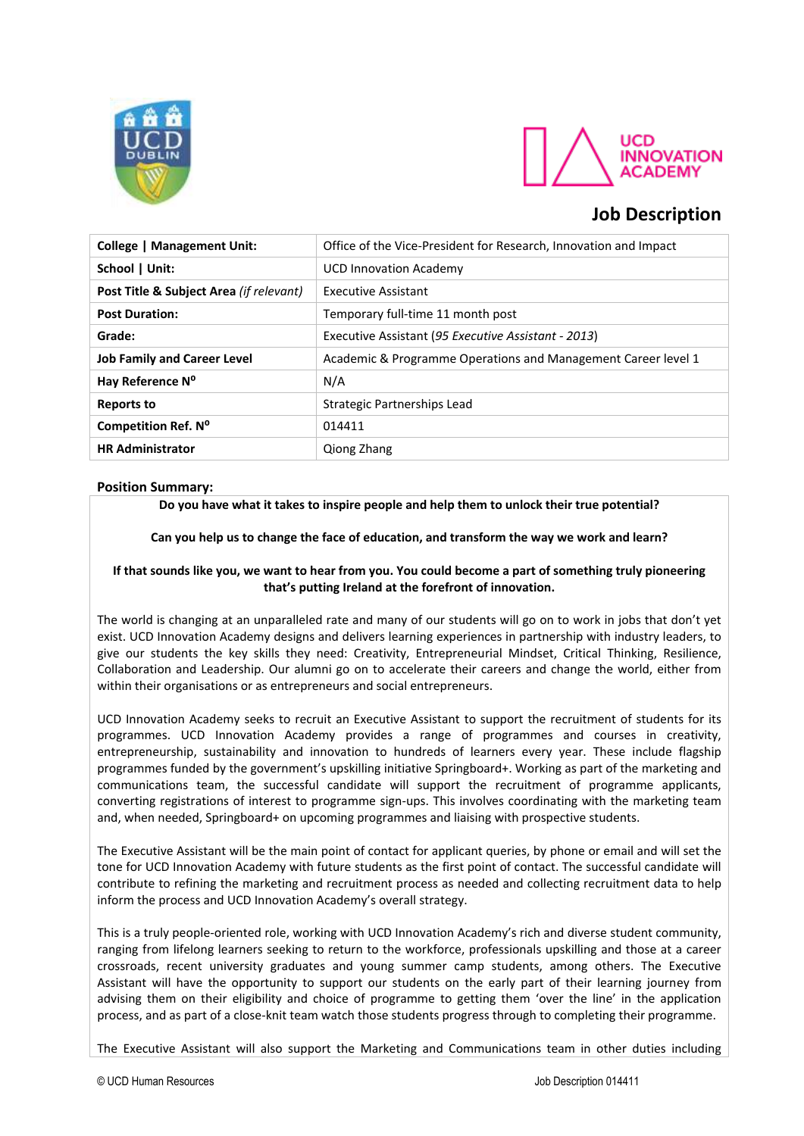



# **Job Description**

| <b>College   Management Unit:</b>       | Office of the Vice-President for Research, Innovation and Impact |
|-----------------------------------------|------------------------------------------------------------------|
| School   Unit:                          | <b>UCD Innovation Academy</b>                                    |
| Post Title & Subject Area (if relevant) | Executive Assistant                                              |
| <b>Post Duration:</b>                   | Temporary full-time 11 month post                                |
| Grade:                                  | Executive Assistant (95 Executive Assistant - 2013)              |
| <b>Job Family and Career Level</b>      | Academic & Programme Operations and Management Career level 1    |
| Hay Reference Nº                        | N/A                                                              |
| <b>Reports to</b>                       | Strategic Partnerships Lead                                      |
| Competition Ref. Nº                     | 014411                                                           |
| <b>HR Administrator</b>                 | Qiong Zhang                                                      |

# **Position Summary:**

**Do you have what it takes to inspire people and help them to unlock their true potential?**

**Can you help us to change the face of education, and transform the way we work and learn?**

# **If that sounds like you, we want to hear from you. You could become a part of something truly pioneering that's putting Ireland at the forefront of innovation.**

The world is changing at an unparalleled rate and many of our students will go on to work in jobs that don't yet exist. UCD Innovation Academy designs and delivers learning experiences in partnership with industry leaders, to give our students the key skills they need: Creativity, Entrepreneurial Mindset, Critical Thinking, Resilience, Collaboration and Leadership. Our alumni go on to accelerate their careers and change the world, either from within their organisations or as entrepreneurs and social entrepreneurs.

UCD Innovation Academy seeks to recruit an Executive Assistant to support the recruitment of students for its programmes. UCD Innovation Academy provides a range of programmes and courses in creativity, entrepreneurship, sustainability and innovation to hundreds of learners every year. These include flagship programmes funded by the government's upskilling initiative Springboard+. Working as part of the marketing and communications team, the successful candidate will support the recruitment of programme applicants, converting registrations of interest to programme sign-ups. This involves coordinating with the marketing team and, when needed, Springboard+ on upcoming programmes and liaising with prospective students.

The Executive Assistant will be the main point of contact for applicant queries, by phone or email and will set the tone for UCD Innovation Academy with future students as the first point of contact. The successful candidate will contribute to refining the marketing and recruitment process as needed and collecting recruitment data to help inform the process and UCD Innovation Academy's overall strategy.

This is a truly people-oriented role, working with UCD Innovation Academy's rich and diverse student community, ranging from lifelong learners seeking to return to the workforce, professionals upskilling and those at a career crossroads, recent university graduates and young summer camp students, among others. The Executive Assistant will have the opportunity to support our students on the early part of their learning journey from advising them on their eligibility and choice of programme to getting them 'over the line' in the application process, and as part of a close-knit team watch those students progress through to completing their programme.

The Executive Assistant will also support the Marketing and Communications team in other duties including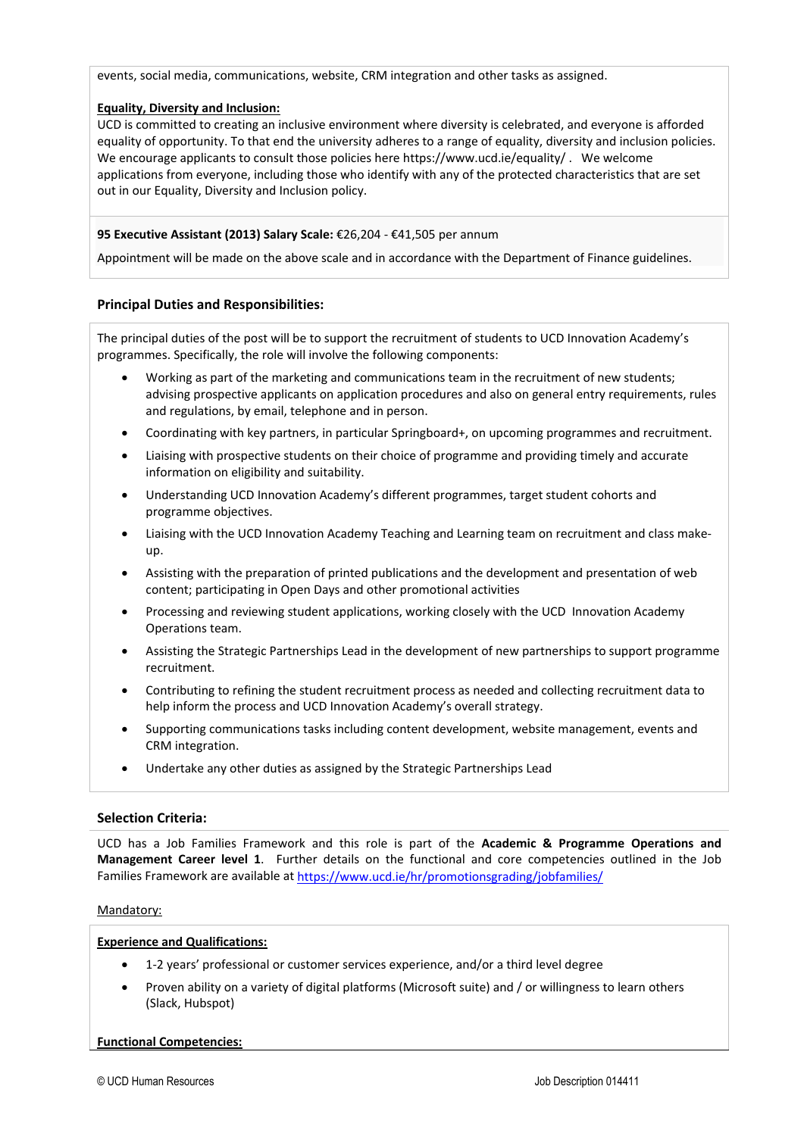events, social media, communications, website, CRM integration and other tasks as assigned.

## **Equality, Diversity and Inclusion:**

UCD is committed to creating an inclusive environment where diversity is celebrated, and everyone is afforded equality of opportunity. To that end the university adheres to a range of equality, diversity and inclusion policies. We encourage applicants to consult those policies her[e https://www.ucd.ie/equality/ .](https://www.ucd.ie/equality/) We welcome applications from everyone, including those who identify with any of the protected characteristics that are set out in our Equality, Diversity and Inclusion policy.

# **95 Executive Assistant (2013) Salary Scale:** €26,204 - €41,505 per annum

Appointment will be made on the above scale and in accordance with the Department of Finance guidelines.

#### **Principal Duties and Responsibilities:**

The principal duties of the post will be to support the recruitment of students to UCD Innovation Academy's programmes. Specifically, the role will involve the following components:

- Working as part of the marketing and communications team in the recruitment of new students; advising prospective applicants on application procedures and also on general entry requirements, rules and regulations, by email, telephone and in person.
- Coordinating with key partners, in particular Springboard+, on upcoming programmes and recruitment.
- Liaising with prospective students on their choice of programme and providing timely and accurate information on eligibility and suitability.
- Understanding UCD Innovation Academy's different programmes, target student cohorts and programme objectives.
- Liaising with the UCD Innovation Academy Teaching and Learning team on recruitment and class makeup.
- Assisting with the preparation of printed publications and the development and presentation of web content; participating in Open Days and other promotional activities
- Processing and reviewing student applications, working closely with the UCD Innovation Academy Operations team.
- Assisting the Strategic Partnerships Lead in the development of new partnerships to support programme recruitment.
- Contributing to refining the student recruitment process as needed and collecting recruitment data to help inform the process and UCD Innovation Academy's overall strategy.
- Supporting communications tasks including content development, website management, events and CRM integration.
- Undertake any other duties as assigned by the Strategic Partnerships Lead

#### **Selection Criteria:**

UCD has a Job Families Framework and this role is part of the **Academic & Programme Operations and Management Career level 1**. Further details on the functional and core competencies outlined in the Job Families Framework are available at<https://www.ucd.ie/hr/promotionsgrading/jobfamilies/>

#### Mandatory:

#### **Experience and Qualifications:**

- 1-2 years' professional or customer services experience, and/or a third level degree
- Proven ability on a variety of digital platforms (Microsoft suite) and / or willingness to learn others (Slack, Hubspot)

#### **Functional Competencies:**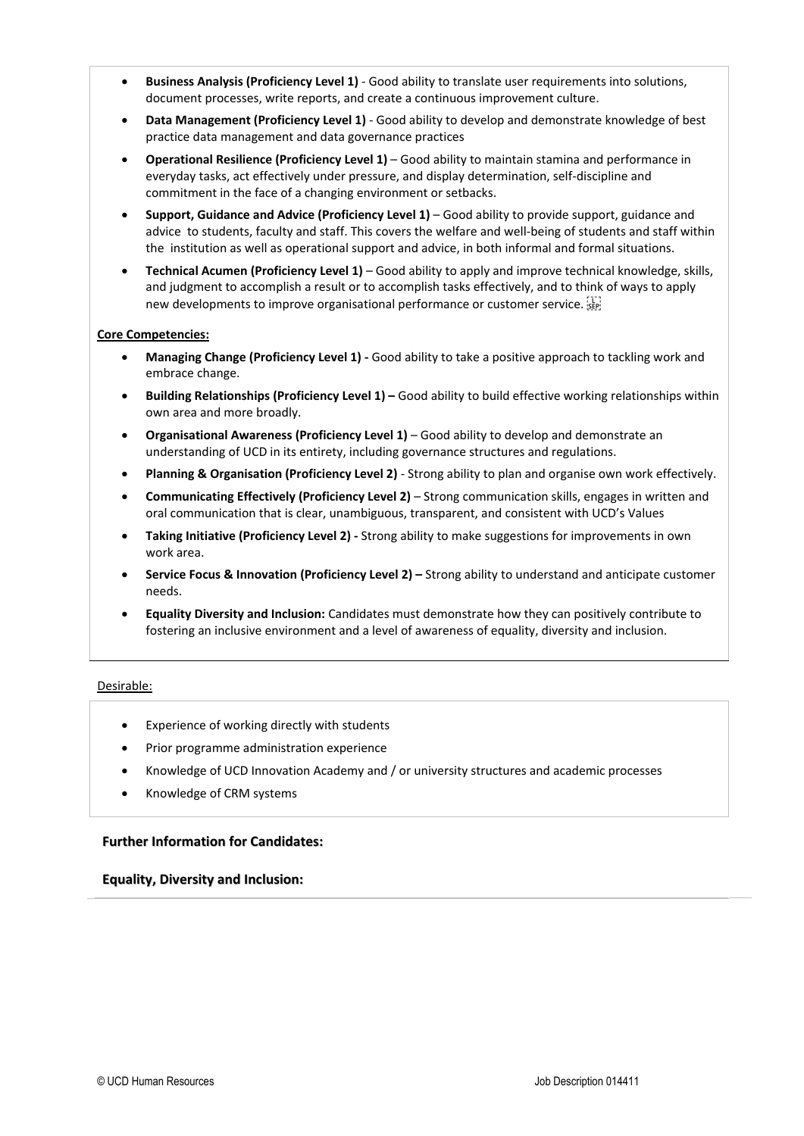- **Business Analysis (Proficiency Level 1)**  Good ability to translate user requirements into solutions, document processes, write reports, and create a continuous improvement culture.
- **Data Management (Proficiency Level 1)** Good ability to develop and demonstrate knowledge of best practice data management and data governance practices
- **Operational Resilience (Proficiency Level 1)**  Good ability to maintain stamina and performance in everyday tasks, act effectively under pressure, and display determination, self-discipline and commitment in the face of a changing environment or setbacks.
- **Support, Guidance and Advice (Proficiency Level 1)**  Good ability to provide support, guidance and advice to students, faculty and staff. This covers the welfare and well-being of students and staff within the institution as well as operational support and advice, in both informal and formal situations.
- **Technical Acumen (Proficiency Level 1)**  Good ability to apply and improve technical knowledge, skills, and judgment to accomplish a result or to accomplish tasks effectively, and to think of ways to apply new developments to improve organisational performance or customer service.

#### **Core Competencies:**

- **Managing Change (Proficiency Level 1) -** Good ability to take a positive approach to tackling work and embrace change.
- **Building Relationships (Proficiency Level 1) –** Good ability to build effective working relationships within own area and more broadly.
- **Organisational Awareness (Proficiency Level 1)** Good ability to develop and demonstrate an understanding of UCD in its entirety, including governance structures and regulations.
- **Planning & Organisation (Proficiency Level 2)** Strong ability to plan and organise own work effectively.
- **Communicating Effectively (Proficiency Level 2)**  Strong communication skills, engages in written and oral communication that is clear, unambiguous, transparent, and consistent with UCD's Values
- **Taking Initiative (Proficiency Level 2) -** Strong ability to make suggestions for improvements in own work area.
- **Service Focus & Innovation (Proficiency Level 2) –** Strong ability to understand and anticipate customer needs.
- **Equality Diversity and Inclusion:** Candidates must demonstrate how they can positively contribute to fostering an inclusive environment and a level of awareness of equality, diversity and inclusion.

#### Desirable:

- Experience of working directly with students
- Prior programme administration experience
- Knowledge of UCD Innovation Academy and / or university structures and academic processes
- Knowledge of CRM systems

#### **Further Information for Candidates:**

#### **Equality, Diversity and Inclusion:**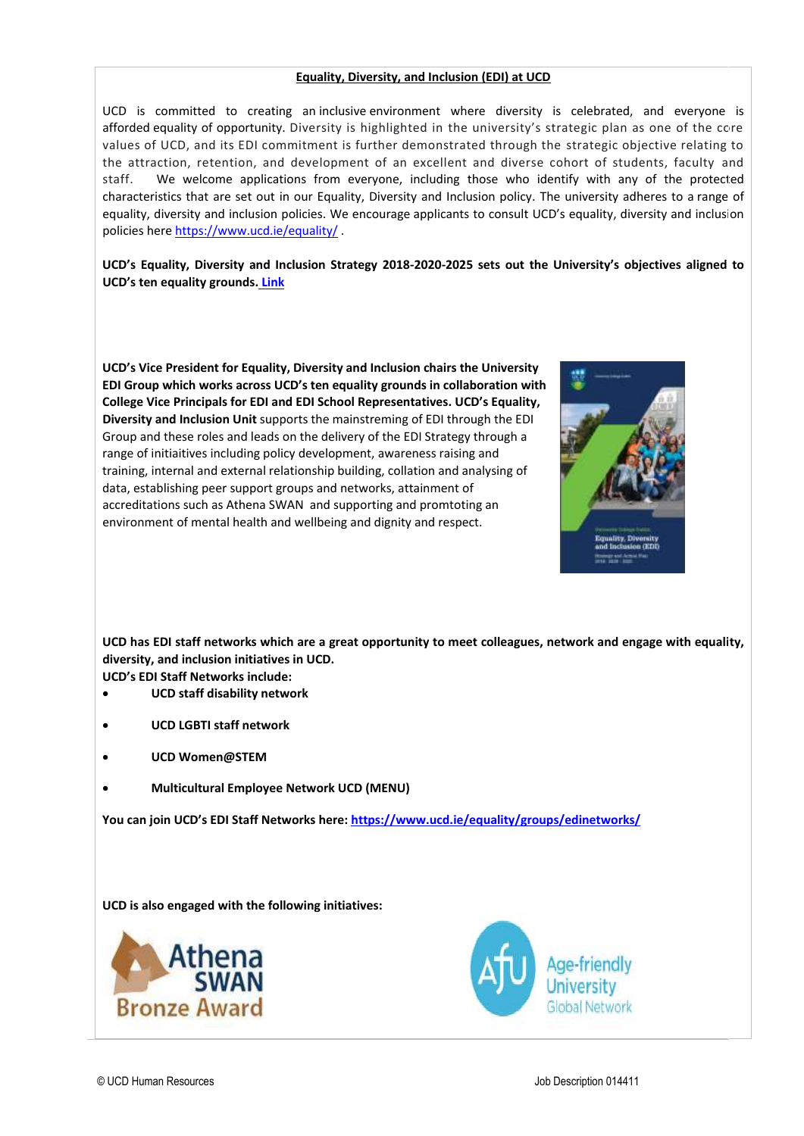## **Equality, Diversity, and Inclusion (EDI) at UCD**

UCD is committed to creating an inclusive environment where diversity is celebrated, and everyone is afforded equality of opportunity. Diversity is highlighted in the university's strategic plan as one of the core values of UCD, and its EDI commitment is further demonstrated through the strategic objective relating to the attraction, retention, and development of an excellent and diverse cohort of students, faculty and staff. We welcome applications from everyone, including those who identify with any of the protected characteristics that are set out in our Equality, Diversity and Inclusion policy. The university adheres to a range of equality, diversity and inclusion policies. We encourage applicants to consult UCD's equality, diversity and inclusion policies her[e https://www.ucd.ie/equality/](https://www.ucd.ie/equality/) .

**UCD's Equality, Diversity and Inclusion Strategy 2018-2020-2025 sets out the University's objectives aligned to UCD's ten equality grounds. [Link](https://www.ucd.ie/equality/information/publications/)**

**UCD's Vice President for Equality, Diversity and Inclusion chairs the University EDI Group which works across UCD's ten equality grounds in collaboration with College Vice Principals for EDI and EDI School Representatives. UCD's Equality, Diversity and Inclusion Unit** supports the mainstreming of EDI through the EDI Group and these roles and leads on the delivery of the EDI Strategy through a range of initiaitives including policy development, awareness raising and training, internal and external relationship building, collation and analysing of data, establishing peer support groups and networks, attainment of accreditations such as Athena SWAN and supporting and promtoting an environment of mental health and wellbeing and dignity and respect.



**UCD has EDI staff networks which are a great opportunity to meet colleagues, network and engage with equality, diversity, and inclusion initiatives in UCD.** 

**UCD's EDI Staff Networks include:** 

- **UCD staff disability network**
- **UCD LGBTI staff network**
- **UCD Women@STEM**
- **Multicultural Employee Network UCD (MENU)**

**You can join UCD's EDI Staff Networks here: <https://www.ucd.ie/equality/groups/edinetworks/>**

**UCD is also engaged with the following initiatives:** 



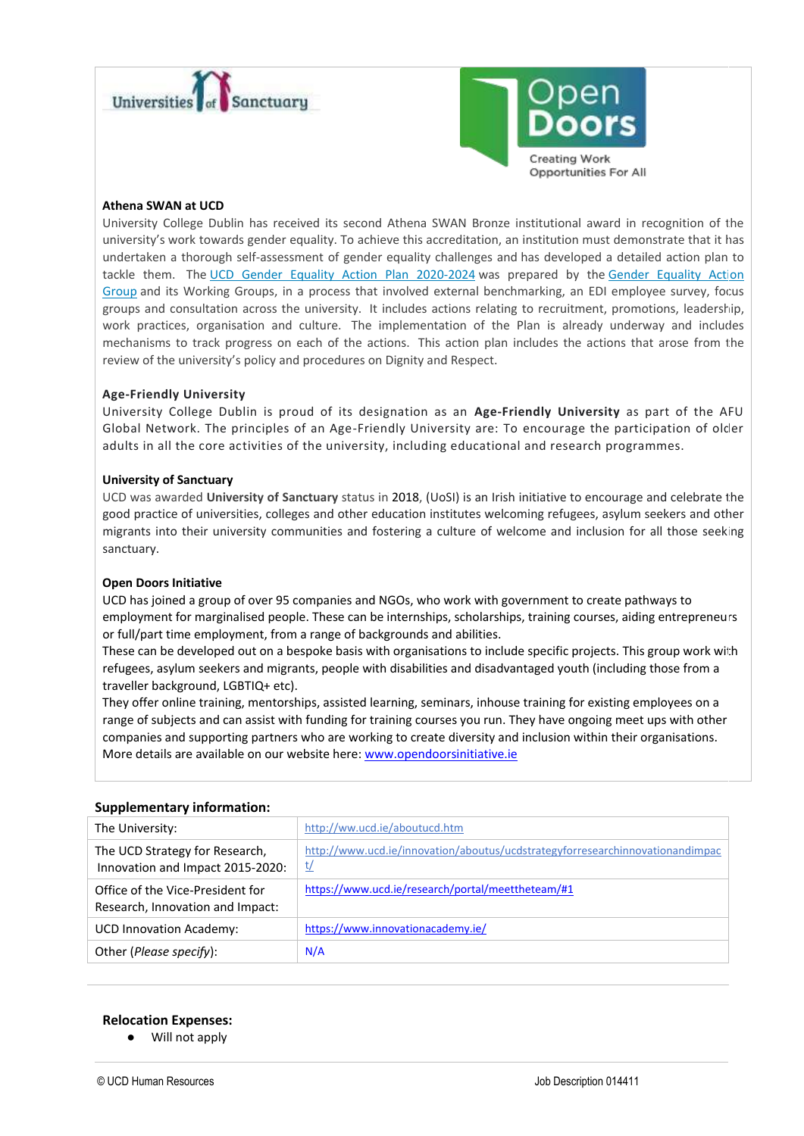



## **Athena SWAN at UCD**

University College Dublin has received its second Athena SWAN Bronze institutional award in recognition of the university's work towards gender equality. To achieve this accreditation, an institution must demonstrate that it has undertaken a thorough self-assessment of gender equality challenges and has developed a detailed action plan to tackle them. The [UCD Gender Equality Action Plan 2020-2024](https://www.ucd.ie/equality/t4media/GenderEqualityActionPlan%20UCD%20Final%20Sept20.pdf) was prepared by the [Gender Equality Action](https://www.ucd.ie/equality/groups/genderequalityactiongroup/)  [Group](https://www.ucd.ie/equality/groups/genderequalityactiongroup/) and its Working Groups, in a process that involved external benchmarking, an EDI employee survey, focus groups and consultation across the university. It includes actions relating to recruitment, promotions, leadership, work practices, organisation and culture. The implementation of the Plan is already underway and includes mechanisms to track progress on each of the actions. This action plan includes the actions that arose from the review of the university's policy and procedures on Dignity and Respect.

# **Age-Friendly University**

University College Dublin is proud of its designation as an **Age-Friendly University** as part of the AFU Global Network. The principles of an Age-Friendly University are: To encourage the participation of older adults in all the core activities of the university, including educational and research programmes.

#### **University of Sanctuary**

UCD was awarded **University of Sanctuary** status in 2018, (UoSI) is an Irish initiative to encourage and celebrate the good practice of universities, colleges and other education institutes welcoming refugees, asylum seekers and other migrants into their university communities and fostering a culture of welcome and inclusion for all those seeking sanctuary.

# **Open Doors Initiative**

UCD has joined a group of over 95 companies and NGOs, who work with government to create pathways to employment for marginalised people. These can be internships, scholarships, training courses, aiding entrepreneurs or full/part time employment, from a range of backgrounds and abilities.

These can be developed out on a bespoke basis with organisations to include specific projects. This group work with refugees, asylum seekers and migrants, people with disabilities and disadvantaged youth (including those from a traveller background, LGBTIQ+ etc).

They offer online training, mentorships, assisted learning, seminars, inhouse training for existing employees on a range of subjects and can assist with funding for training courses you run. They have ongoing meet ups with other companies and supporting partners who are working to create diversity and inclusion within their organisations. More details are available on our website here: [www.opendoorsinitiative.ie](file:///C:/markenny/AppData/Local/Microsoft/Windows/INetCache/Content.Outlook/6FOXTEGL/www.opendoorsinitiative.ie)

#### **Supplementary information:**

| The University:                                                      | http://ww.ucd.ie/aboutucd.htm                                                       |
|----------------------------------------------------------------------|-------------------------------------------------------------------------------------|
| The UCD Strategy for Research,<br>Innovation and Impact 2015-2020:   | http://www.ucd.ie/innovation/aboutus/ucdstrategyforresearchinnovationandimpac<br>t/ |
| Office of the Vice-President for<br>Research, Innovation and Impact: | https://www.ucd.ie/research/portal/meettheteam/#1                                   |
| <b>UCD Innovation Academy:</b>                                       | https://www.innovationacademy.ie/                                                   |
| Other (Please specify):                                              | N/A                                                                                 |
|                                                                      |                                                                                     |

# **Relocation Expenses:**

● Will not apply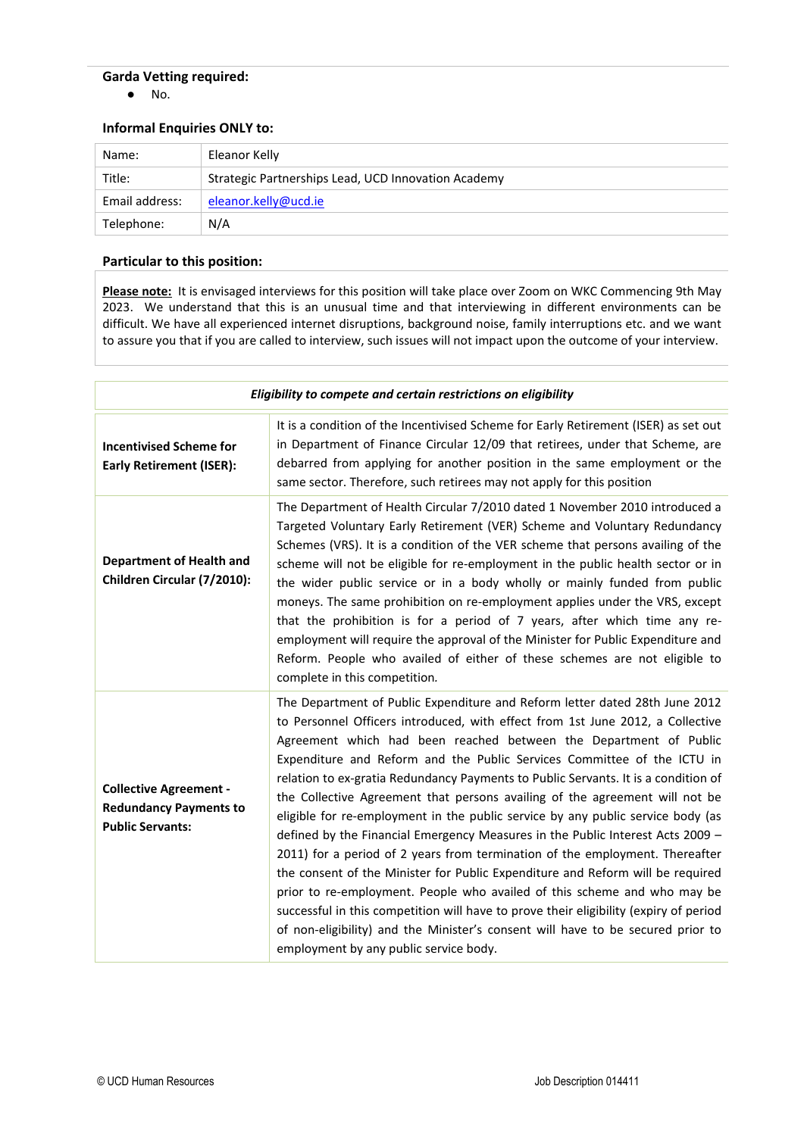# **Garda Vetting required:**

● No.

# **Informal Enquiries ONLY to:**

| Name:          | Eleanor Kelly                                       |
|----------------|-----------------------------------------------------|
| Title:         | Strategic Partnerships Lead, UCD Innovation Academy |
| Email address: | eleanor.kelly@ucd.ie                                |
| Telephone:     | N/A                                                 |

# **Particular to this position:**

**Please note:** It is envisaged interviews for this position will take place over Zoom on WKC Commencing 9th May 2023. We understand that this is an unusual time and that interviewing in different environments can be difficult. We have all experienced internet disruptions, background noise, family interruptions etc. and we want to assure you that if you are called to interview, such issues will not impact upon the outcome of your interview.

| Eligibility to compete and certain restrictions on eligibility                            |                                                                                                                                                                                                                                                                                                                                                                                                                                                                                                                                                                                                                                                                                                                                                                                                                                                                                                                                                                                                                                                                                                                             |  |
|-------------------------------------------------------------------------------------------|-----------------------------------------------------------------------------------------------------------------------------------------------------------------------------------------------------------------------------------------------------------------------------------------------------------------------------------------------------------------------------------------------------------------------------------------------------------------------------------------------------------------------------------------------------------------------------------------------------------------------------------------------------------------------------------------------------------------------------------------------------------------------------------------------------------------------------------------------------------------------------------------------------------------------------------------------------------------------------------------------------------------------------------------------------------------------------------------------------------------------------|--|
| <b>Incentivised Scheme for</b><br><b>Early Retirement (ISER):</b>                         | It is a condition of the Incentivised Scheme for Early Retirement (ISER) as set out<br>in Department of Finance Circular 12/09 that retirees, under that Scheme, are<br>debarred from applying for another position in the same employment or the<br>same sector. Therefore, such retirees may not apply for this position                                                                                                                                                                                                                                                                                                                                                                                                                                                                                                                                                                                                                                                                                                                                                                                                  |  |
| <b>Department of Health and</b><br>Children Circular (7/2010):                            | The Department of Health Circular 7/2010 dated 1 November 2010 introduced a<br>Targeted Voluntary Early Retirement (VER) Scheme and Voluntary Redundancy<br>Schemes (VRS). It is a condition of the VER scheme that persons availing of the<br>scheme will not be eligible for re-employment in the public health sector or in<br>the wider public service or in a body wholly or mainly funded from public<br>moneys. The same prohibition on re-employment applies under the VRS, except<br>that the prohibition is for a period of 7 years, after which time any re-<br>employment will require the approval of the Minister for Public Expenditure and<br>Reform. People who availed of either of these schemes are not eligible to<br>complete in this competition.                                                                                                                                                                                                                                                                                                                                                    |  |
| <b>Collective Agreement -</b><br><b>Redundancy Payments to</b><br><b>Public Servants:</b> | The Department of Public Expenditure and Reform letter dated 28th June 2012<br>to Personnel Officers introduced, with effect from 1st June 2012, a Collective<br>Agreement which had been reached between the Department of Public<br>Expenditure and Reform and the Public Services Committee of the ICTU in<br>relation to ex-gratia Redundancy Payments to Public Servants. It is a condition of<br>the Collective Agreement that persons availing of the agreement will not be<br>eligible for re-employment in the public service by any public service body (as<br>defined by the Financial Emergency Measures in the Public Interest Acts 2009 -<br>2011) for a period of 2 years from termination of the employment. Thereafter<br>the consent of the Minister for Public Expenditure and Reform will be required<br>prior to re-employment. People who availed of this scheme and who may be<br>successful in this competition will have to prove their eligibility (expiry of period<br>of non-eligibility) and the Minister's consent will have to be secured prior to<br>employment by any public service body. |  |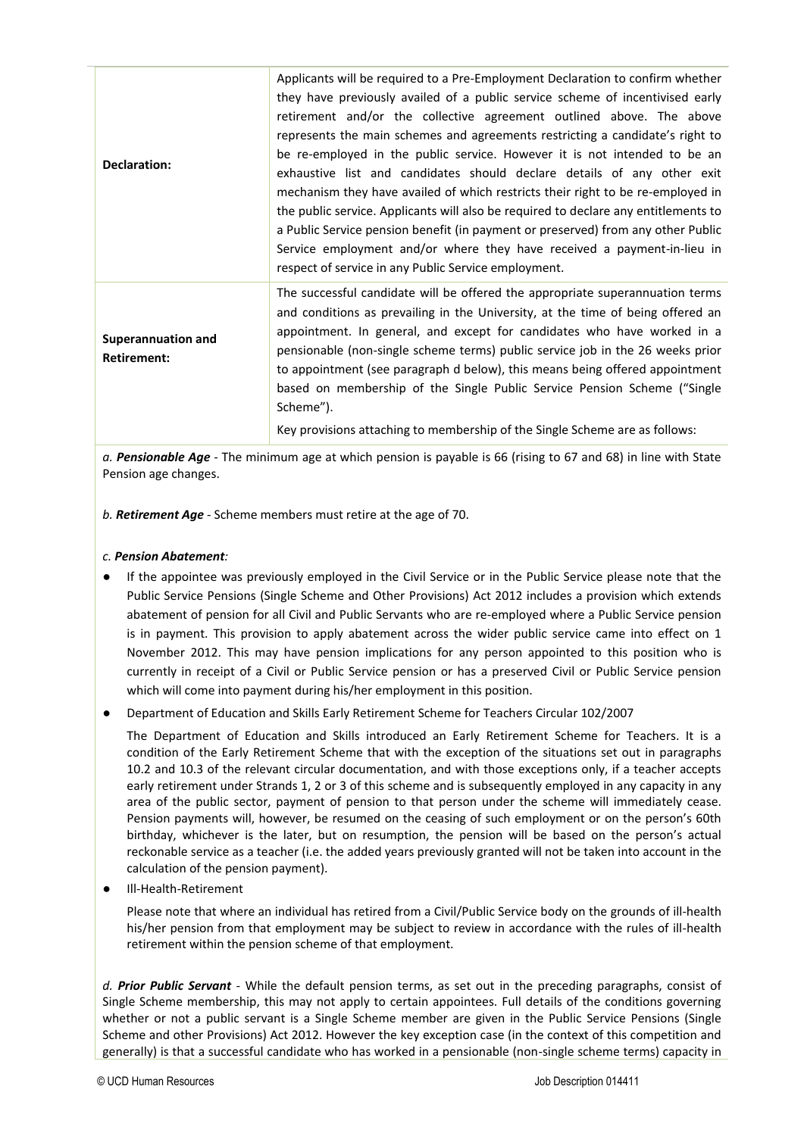| Declaration:                                    | Applicants will be required to a Pre-Employment Declaration to confirm whether<br>they have previously availed of a public service scheme of incentivised early<br>retirement and/or the collective agreement outlined above. The above<br>represents the main schemes and agreements restricting a candidate's right to<br>be re-employed in the public service. However it is not intended to be an<br>exhaustive list and candidates should declare details of any other exit<br>mechanism they have availed of which restricts their right to be re-employed in<br>the public service. Applicants will also be required to declare any entitlements to<br>a Public Service pension benefit (in payment or preserved) from any other Public<br>Service employment and/or where they have received a payment-in-lieu in<br>respect of service in any Public Service employment. |
|-------------------------------------------------|-----------------------------------------------------------------------------------------------------------------------------------------------------------------------------------------------------------------------------------------------------------------------------------------------------------------------------------------------------------------------------------------------------------------------------------------------------------------------------------------------------------------------------------------------------------------------------------------------------------------------------------------------------------------------------------------------------------------------------------------------------------------------------------------------------------------------------------------------------------------------------------|
| <b>Superannuation and</b><br><b>Retirement:</b> | The successful candidate will be offered the appropriate superannuation terms<br>and conditions as prevailing in the University, at the time of being offered an<br>appointment. In general, and except for candidates who have worked in a<br>pensionable (non-single scheme terms) public service job in the 26 weeks prior<br>to appointment (see paragraph d below), this means being offered appointment<br>based on membership of the Single Public Service Pension Scheme ("Single<br>Scheme").<br>Key provisions attaching to membership of the Single Scheme are as follows:                                                                                                                                                                                                                                                                                             |

*a. Pensionable Age -* The minimum age at which pension is payable is 66 (rising to 67 and 68) in line with State Pension age changes.

*b. Retirement Age -* Scheme members must retire at the age of 70.

# *c. Pension Abatement:*

- If the appointee was previously employed in the Civil Service or in the Public Service please note that the Public Service Pensions (Single Scheme and Other Provisions) Act 2012 includes a provision which extends abatement of pension for all Civil and Public Servants who are re-employed where a Public Service pension is in payment. This provision to apply abatement across the wider public service came into effect on 1 November 2012. This may have pension implications for any person appointed to this position who is currently in receipt of a Civil or Public Service pension or has a preserved Civil or Public Service pension which will come into payment during his/her employment in this position.
- Department of Education and Skills Early Retirement Scheme for Teachers Circular 102/2007

The Department of Education and Skills introduced an Early Retirement Scheme for Teachers. It is a condition of the Early Retirement Scheme that with the exception of the situations set out in paragraphs 10.2 and 10.3 of the relevant circular documentation, and with those exceptions only, if a teacher accepts early retirement under Strands 1, 2 or 3 of this scheme and is subsequently employed in any capacity in any area of the public sector, payment of pension to that person under the scheme will immediately cease. Pension payments will, however, be resumed on the ceasing of such employment or on the person's 60th birthday, whichever is the later, but on resumption, the pension will be based on the person's actual reckonable service as a teacher (i.e. the added years previously granted will not be taken into account in the calculation of the pension payment).

● Ill-Health-Retirement

Please note that where an individual has retired from a Civil/Public Service body on the grounds of ill-health his/her pension from that employment may be subject to review in accordance with the rules of ill-health retirement within the pension scheme of that employment.

*d. Prior Public Servant -* While the default pension terms, as set out in the preceding paragraphs, consist of Single Scheme membership, this may not apply to certain appointees. Full details of the conditions governing whether or not a public servant is a Single Scheme member are given in the Public Service Pensions (Single Scheme and other Provisions) Act 2012. However the key exception case (in the context of this competition and generally) is that a successful candidate who has worked in a pensionable (non-single scheme terms) capacity in